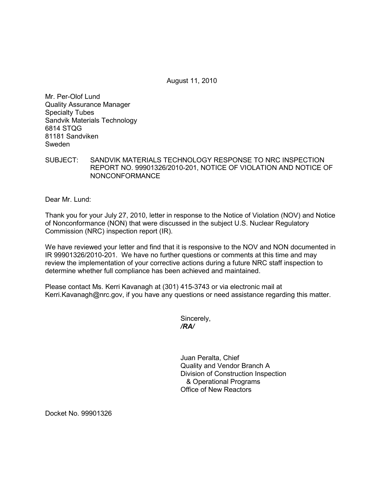August 11, 2010

Mr. Per-Olof Lund Quality Assurance Manager Specialty Tubes Sandvik Materials Technology 6814 STQG 81181 Sandviken Sweden

SUBJECT: SANDVIK MATERIALS TECHNOLOGY RESPONSE TO NRC INSPECTION REPORT NO. 99901326/2010-201, NOTICE OF VIOLATION AND NOTICE OF NONCONFORMANCE

Dear Mr. Lund:

Thank you for your July 27, 2010, letter in response to the Notice of Violation (NOV) and Notice of Nonconformance (NON) that were discussed in the subject U.S. Nuclear Regulatory Commission (NRC) inspection report (IR).

We have reviewed your letter and find that it is responsive to the NOV and NON documented in IR 99901326/2010-201. We have no further questions or comments at this time and may review the implementation of your corrective actions during a future NRC staff inspection to determine whether full compliance has been achieved and maintained.

Please contact Ms. Kerri Kavanagh at (301) 415-3743 or via electronic mail at Kerri.Kavanagh@nrc.gov, if you have any questions or need assistance regarding this matter.

Sincerely, */RA/* 

> Juan Peralta, Chief Quality and Vendor Branch A Division of Construction Inspection & Operational Programs Office of New Reactors

Docket No. 99901326